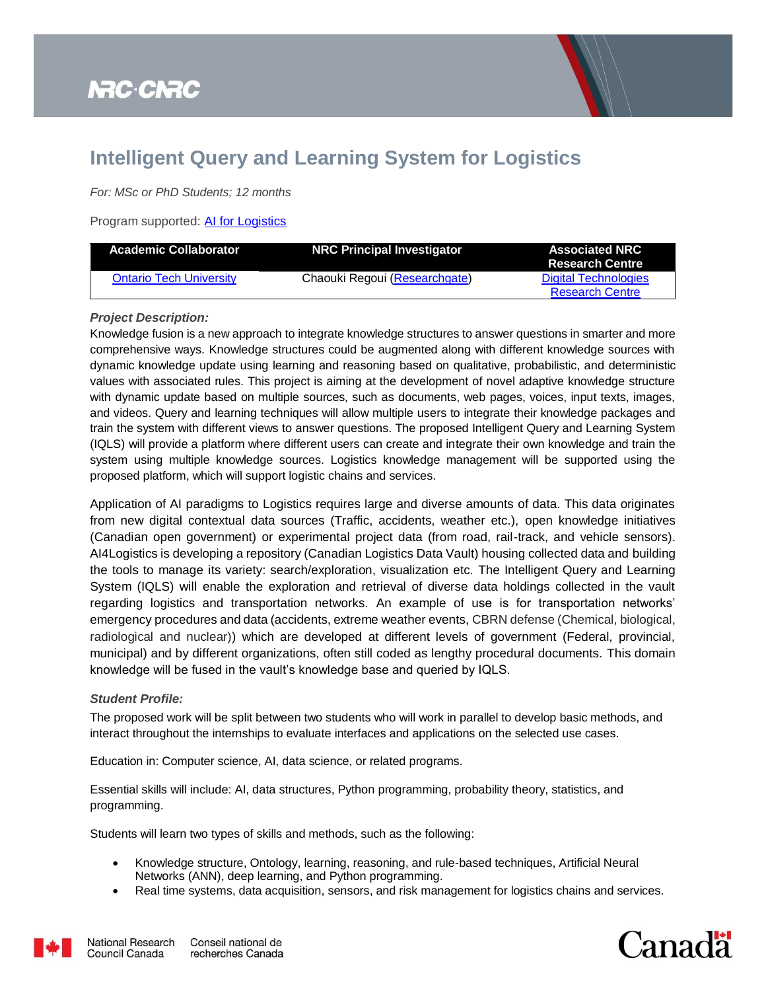

## **Intelligent Query and Learning System for Logistics**

*For: MSc or PhD Students; 12 months*

Program supported: [AI for Logistics](https://nrc.canada.ca/en/research-development/research-collaboration/programs/artificial-intelligence-logistics-supercluster-support-program)

| <b>Academic Collaborator</b>   | <b>NRC Principal Investigator</b> | <b>Associated NRC</b><br><b>Research Centre</b> |
|--------------------------------|-----------------------------------|-------------------------------------------------|
| <b>Ontario Tech University</b> | Chaouki Regoui (Researchgate)     | Digital Technologies                            |
|                                |                                   | <b>Research Centre</b>                          |

## *Project Description:*

Knowledge fusion is a new approach to integrate knowledge structures to answer questions in smarter and more comprehensive ways. Knowledge structures could be augmented along with different knowledge sources with dynamic knowledge update using learning and reasoning based on qualitative, probabilistic, and deterministic values with associated rules. This project is aiming at the development of novel adaptive knowledge structure with dynamic update based on multiple sources, such as documents, web pages, voices, input texts, images, and videos. Query and learning techniques will allow multiple users to integrate their knowledge packages and train the system with different views to answer questions. The proposed Intelligent Query and Learning System (IQLS) will provide a platform where different users can create and integrate their own knowledge and train the system using multiple knowledge sources. Logistics knowledge management will be supported using the proposed platform, which will support logistic chains and services.

Application of AI paradigms to Logistics requires large and diverse amounts of data. This data originates from new digital contextual data sources (Traffic, accidents, weather etc.), open knowledge initiatives (Canadian open government) or experimental project data (from road, rail-track, and vehicle sensors). AI4Logistics is developing a repository (Canadian Logistics Data Vault) housing collected data and building the tools to manage its variety: search/exploration, visualization etc. The Intelligent Query and Learning System (IQLS) will enable the exploration and retrieval of diverse data holdings collected in the vault regarding logistics and transportation networks. An example of use is for transportation networks' emergency procedures and data (accidents, extreme weather events, CBRN defense (Chemical, biological, radiological and nuclear)) which are developed at different levels of government (Federal, provincial, municipal) and by different organizations, often still coded as lengthy procedural documents. This domain knowledge will be fused in the vault's knowledge base and queried by IQLS.

## *Student Profile:*

The proposed work will be split between two students who will work in parallel to develop basic methods, and interact throughout the internships to evaluate interfaces and applications on the selected use cases.

Education in: Computer science, AI, data science, or related programs.

Essential skills will include: AI, data structures, Python programming, probability theory, statistics, and programming.

Students will learn two types of skills and methods, such as the following:

- Knowledge structure, Ontology, learning, reasoning, and rule-based techniques, Artificial Neural Networks (ANN), deep learning, and Python programming.
- Real time systems, data acquisition, sensors, and risk management for logistics chains and services.